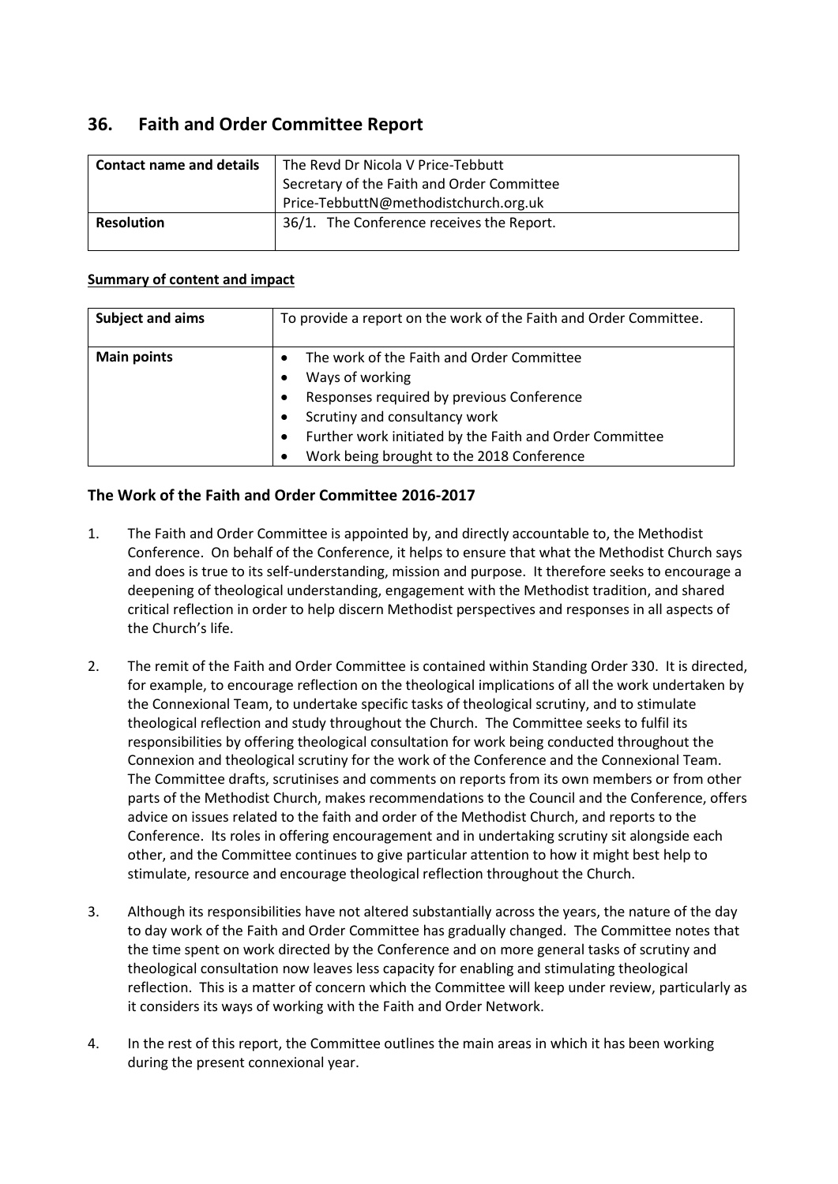# **36. Faith and Order Committee Report**

| <b>Contact name and details</b> | The Revd Dr Nicola V Price-Tebbutt         |
|---------------------------------|--------------------------------------------|
|                                 | Secretary of the Faith and Order Committee |
|                                 | Price-TebbuttN@methodistchurch.org.uk      |
| <b>Resolution</b>               | 36/1. The Conference receives the Report.  |

#### **Summary of content and impact**

| <b>Subject and aims</b> | To provide a report on the work of the Faith and Order Committee. |
|-------------------------|-------------------------------------------------------------------|
| <b>Main points</b>      | The work of the Faith and Order Committee<br>$\bullet$            |
|                         | Ways of working                                                   |
|                         | Responses required by previous Conference<br>٠                    |
|                         | Scrutiny and consultancy work                                     |
|                         | Further work initiated by the Faith and Order Committee           |
|                         | Work being brought to the 2018 Conference<br>$\bullet$            |

## **The Work of the Faith and Order Committee 2016-2017**

- 1. The Faith and Order Committee is appointed by, and directly accountable to, the Methodist Conference. On behalf of the Conference, it helps to ensure that what the Methodist Church says and does is true to its self-understanding, mission and purpose. It therefore seeks to encourage a deepening of theological understanding, engagement with the Methodist tradition, and shared critical reflection in order to help discern Methodist perspectives and responses in all aspects of the Church's life.
- 2. The remit of the Faith and Order Committee is contained within Standing Order 330. It is directed, for example, to encourage reflection on the theological implications of all the work undertaken by the Connexional Team, to undertake specific tasks of theological scrutiny, and to stimulate theological reflection and study throughout the Church. The Committee seeks to fulfil its responsibilities by offering theological consultation for work being conducted throughout the Connexion and theological scrutiny for the work of the Conference and the Connexional Team. The Committee drafts, scrutinises and comments on reports from its own members or from other parts of the Methodist Church, makes recommendations to the Council and the Conference, offers advice on issues related to the faith and order of the Methodist Church, and reports to the Conference. Its roles in offering encouragement and in undertaking scrutiny sit alongside each other, and the Committee continues to give particular attention to how it might best help to stimulate, resource and encourage theological reflection throughout the Church.
- 3. Although its responsibilities have not altered substantially across the years, the nature of the day to day work of the Faith and Order Committee has gradually changed. The Committee notes that the time spent on work directed by the Conference and on more general tasks of scrutiny and theological consultation now leaves less capacity for enabling and stimulating theological reflection. This is a matter of concern which the Committee will keep under review, particularly as it considers its ways of working with the Faith and Order Network.
- 4. In the rest of this report, the Committee outlines the main areas in which it has been working during the present connexional year.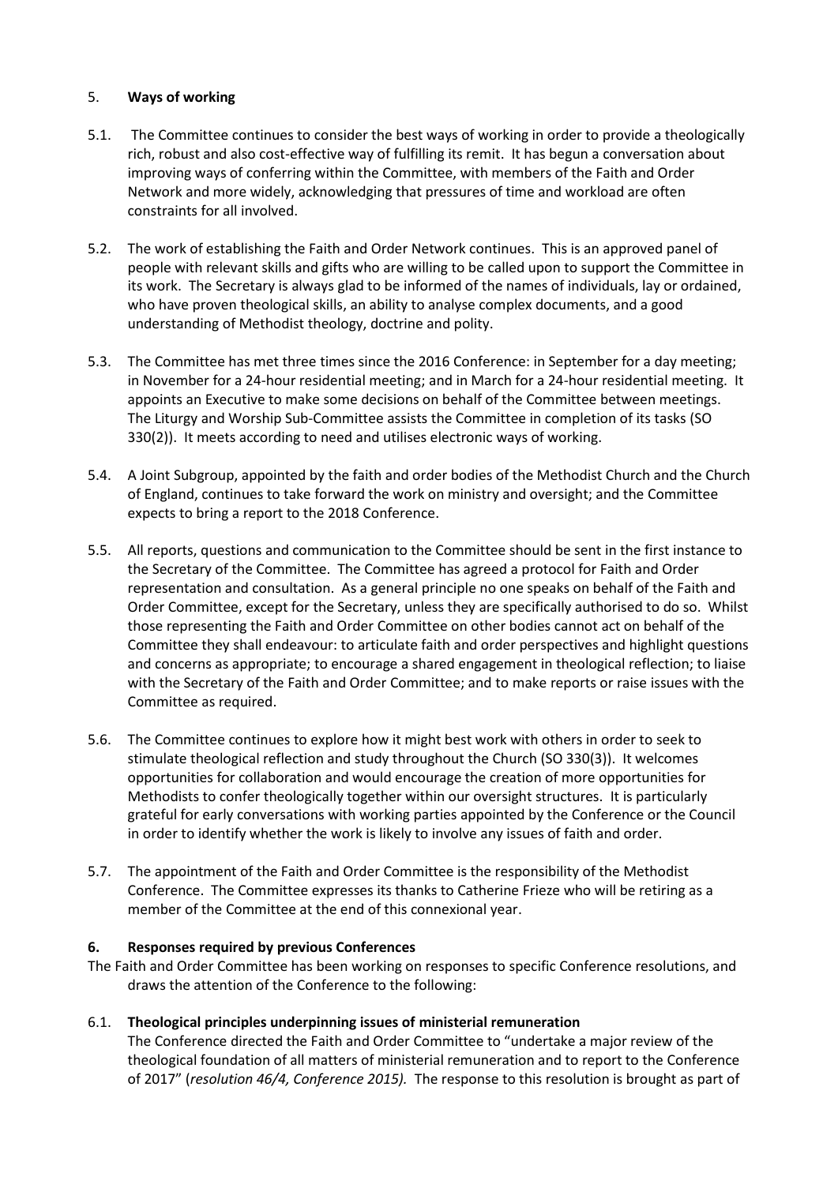#### 5. **Ways of working**

- 5.1. The Committee continues to consider the best ways of working in order to provide a theologically rich, robust and also cost-effective way of fulfilling its remit. It has begun a conversation about improving ways of conferring within the Committee, with members of the Faith and Order Network and more widely, acknowledging that pressures of time and workload are often constraints for all involved.
- 5.2. The work of establishing the Faith and Order Network continues. This is an approved panel of people with relevant skills and gifts who are willing to be called upon to support the Committee in its work. The Secretary is always glad to be informed of the names of individuals, lay or ordained, who have proven theological skills, an ability to analyse complex documents, and a good understanding of Methodist theology, doctrine and polity.
- 5.3. The Committee has met three times since the 2016 Conference: in September for a day meeting; in November for a 24-hour residential meeting; and in March for a 24-hour residential meeting. It appoints an Executive to make some decisions on behalf of the Committee between meetings. The Liturgy and Worship Sub-Committee assists the Committee in completion of its tasks (SO 330(2)). It meets according to need and utilises electronic ways of working.
- 5.4. A Joint Subgroup, appointed by the faith and order bodies of the Methodist Church and the Church of England, continues to take forward the work on ministry and oversight; and the Committee expects to bring a report to the 2018 Conference.
- 5.5. All reports, questions and communication to the Committee should be sent in the first instance to the Secretary of the Committee. The Committee has agreed a protocol for Faith and Order representation and consultation. As a general principle no one speaks on behalf of the Faith and Order Committee, except for the Secretary, unless they are specifically authorised to do so. Whilst those representing the Faith and Order Committee on other bodies cannot act on behalf of the Committee they shall endeavour: to articulate faith and order perspectives and highlight questions and concerns as appropriate; to encourage a shared engagement in theological reflection; to liaise with the Secretary of the Faith and Order Committee; and to make reports or raise issues with the Committee as required.
- 5.6. The Committee continues to explore how it might best work with others in order to seek to stimulate theological reflection and study throughout the Church (SO 330(3)). It welcomes opportunities for collaboration and would encourage the creation of more opportunities for Methodists to confer theologically together within our oversight structures. It is particularly grateful for early conversations with working parties appointed by the Conference or the Council in order to identify whether the work is likely to involve any issues of faith and order.
- 5.7. The appointment of the Faith and Order Committee is the responsibility of the Methodist Conference. The Committee expresses its thanks to Catherine Frieze who will be retiring as a member of the Committee at the end of this connexional year.

#### **6. Responses required by previous Conferences**

The Faith and Order Committee has been working on responses to specific Conference resolutions, and draws the attention of the Conference to the following:

## 6.1. **Theological principles underpinning issues of ministerial remuneration**

The Conference directed the Faith and Order Committee to "undertake a major review of the theological foundation of all matters of ministerial remuneration and to report to the Conference of 2017" (*resolution 46/4, Conference 2015).* The response to this resolution is brought as part of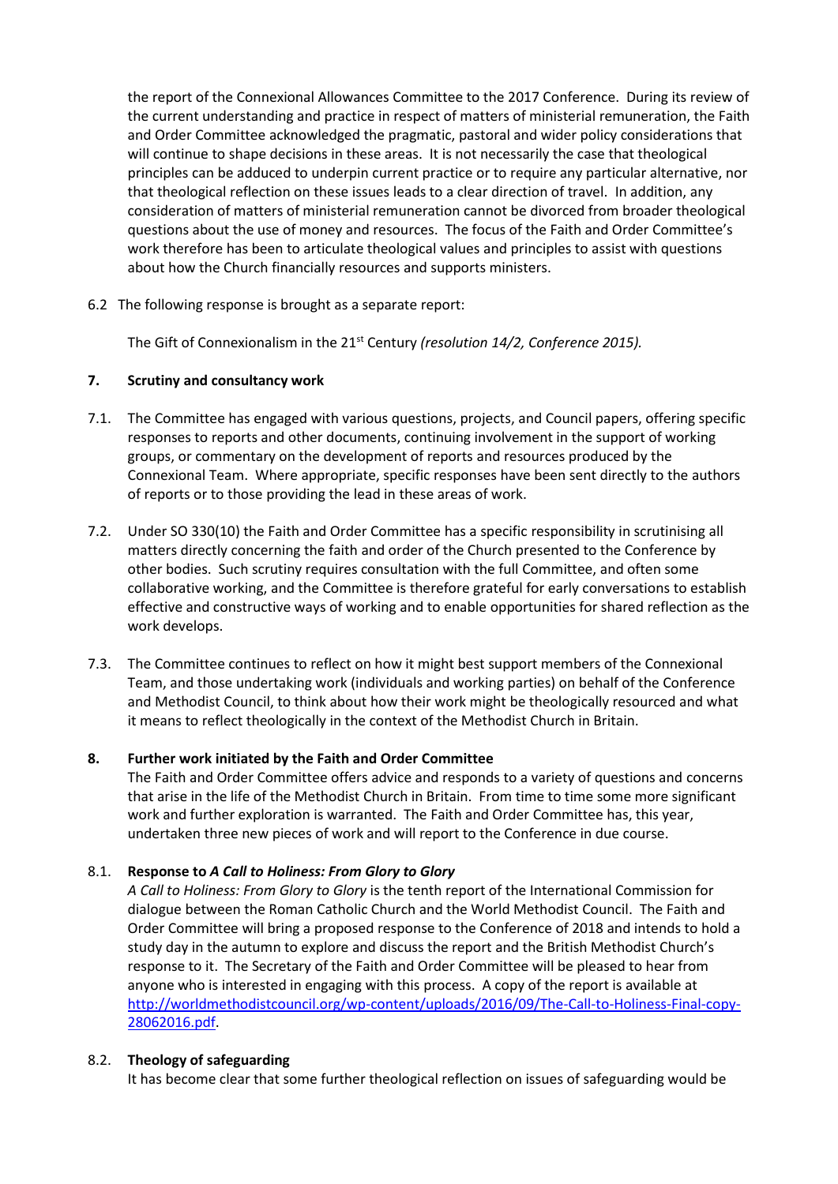the report of the Connexional Allowances Committee to the 2017 Conference. During its review of the current understanding and practice in respect of matters of ministerial remuneration, the Faith and Order Committee acknowledged the pragmatic, pastoral and wider policy considerations that will continue to shape decisions in these areas. It is not necessarily the case that theological principles can be adduced to underpin current practice or to require any particular alternative, nor that theological reflection on these issues leads to a clear direction of travel. In addition, any consideration of matters of ministerial remuneration cannot be divorced from broader theological questions about the use of money and resources. The focus of the Faith and Order Committee's work therefore has been to articulate theological values and principles to assist with questions about how the Church financially resources and supports ministers.

6.2 The following response is brought as a separate report:

The Gift of Connexionalism in the 21st Century *(resolution 14/2, Conference 2015).*

#### **7. Scrutiny and consultancy work**

- 7.1. The Committee has engaged with various questions, projects, and Council papers, offering specific responses to reports and other documents, continuing involvement in the support of working groups, or commentary on the development of reports and resources produced by the Connexional Team. Where appropriate, specific responses have been sent directly to the authors of reports or to those providing the lead in these areas of work.
- 7.2. Under SO 330(10) the Faith and Order Committee has a specific responsibility in scrutinising all matters directly concerning the faith and order of the Church presented to the Conference by other bodies. Such scrutiny requires consultation with the full Committee, and often some collaborative working, and the Committee is therefore grateful for early conversations to establish effective and constructive ways of working and to enable opportunities for shared reflection as the work develops.
- 7.3. The Committee continues to reflect on how it might best support members of the Connexional Team, and those undertaking work (individuals and working parties) on behalf of the Conference and Methodist Council, to think about how their work might be theologically resourced and what it means to reflect theologically in the context of the Methodist Church in Britain.

## **8. Further work initiated by the Faith and Order Committee**

The Faith and Order Committee offers advice and responds to a variety of questions and concerns that arise in the life of the Methodist Church in Britain. From time to time some more significant work and further exploration is warranted. The Faith and Order Committee has, this year, undertaken three new pieces of work and will report to the Conference in due course.

#### 8.1. **Response to** *A Call to Holiness: From Glory to Glory*

*A Call to Holiness: From Glory to Glory* is the tenth report of the International Commission for dialogue between the Roman Catholic Church and the World Methodist Council. The Faith and Order Committee will bring a proposed response to the Conference of 2018 and intends to hold a study day in the autumn to explore and discuss the report and the British Methodist Church's response to it. The Secretary of the Faith and Order Committee will be pleased to hear from anyone who is interested in engaging with this process. A copy of the report is available at [http://worldmethodistcouncil.org/wp-content/uploads/2016/09/The-Call-to-Holiness-Final-copy-](http://worldmethodistcouncil.org/wp-content/uploads/2016/09/The-Call-to-Holiness-Final-copy-28062016.pdf)[28062016.pdf.](http://worldmethodistcouncil.org/wp-content/uploads/2016/09/The-Call-to-Holiness-Final-copy-28062016.pdf)

#### 8.2. **Theology of safeguarding**

It has become clear that some further theological reflection on issues of safeguarding would be